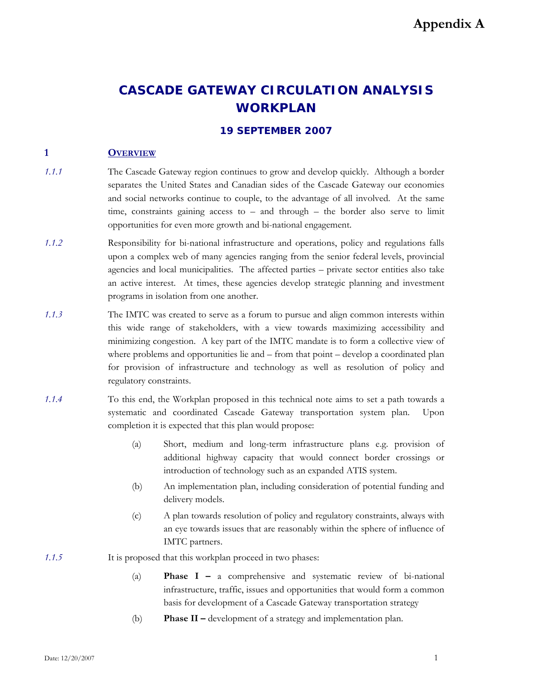# **CASCADE GATEWAY CIRCULATION ANALYSIS WORKPLAN**

# **19 SEPTEMBER 2007**

# **1 OVERVIEW**

- *1.1.1* The Cascade Gateway region continues to grow and develop quickly. Although a border separates the United States and Canadian sides of the Cascade Gateway our economies and social networks continue to couple, to the advantage of all involved. At the same time, constraints gaining access to – and through – the border also serve to limit opportunities for even more growth and bi-national engagement.
- *1.1.2* Responsibility for bi-national infrastructure and operations, policy and regulations falls upon a complex web of many agencies ranging from the senior federal levels, provincial agencies and local municipalities. The affected parties – private sector entities also take an active interest. At times, these agencies develop strategic planning and investment programs in isolation from one another.
- *1.1.3* The IMTC was created to serve as a forum to pursue and align common interests within this wide range of stakeholders, with a view towards maximizing accessibility and minimizing congestion. A key part of the IMTC mandate is to form a collective view of where problems and opportunities lie and – from that point – develop a coordinated plan for provision of infrastructure and technology as well as resolution of policy and regulatory constraints.
- *1.1.4* To this end, the Workplan proposed in this technical note aims to set a path towards a systematic and coordinated Cascade Gateway transportation system plan. Upon completion it is expected that this plan would propose:
	- (a) Short, medium and long-term infrastructure plans e.g. provision of additional highway capacity that would connect border crossings or introduction of technology such as an expanded ATIS system.
	- (b) An implementation plan, including consideration of potential funding and delivery models.
	- (c) A plan towards resolution of policy and regulatory constraints, always with an eye towards issues that are reasonably within the sphere of influence of IMTC partners.
- *1.1.5* It is proposed that this workplan proceed in two phases:
	- (a) **Phase I –** a comprehensive and systematic review of bi-national infrastructure, traffic, issues and opportunities that would form a common basis for development of a Cascade Gateway transportation strategy
	- (b) **Phase II –** development of a strategy and implementation plan.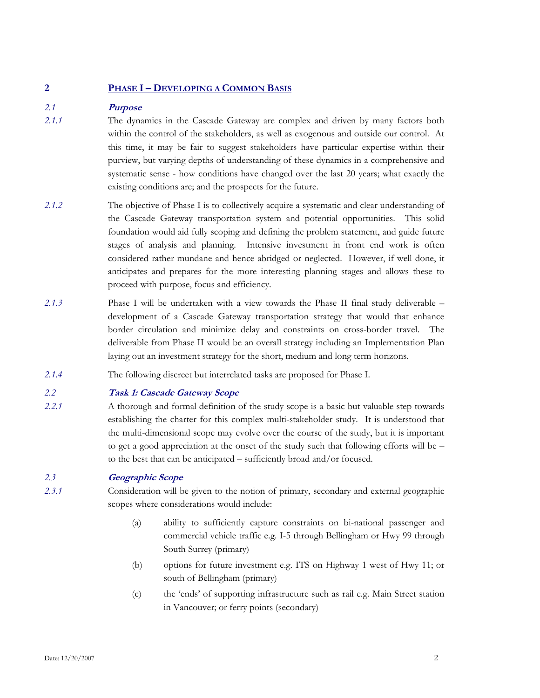# **2 PHASE I – DEVELOPING A COMMON BASIS**

# *2.1* **Purpose**

- *2.1.1* The dynamics in the Cascade Gateway are complex and driven by many factors both within the control of the stakeholders, as well as exogenous and outside our control. At this time, it may be fair to suggest stakeholders have particular expertise within their purview, but varying depths of understanding of these dynamics in a comprehensive and systematic sense - how conditions have changed over the last 20 years; what exactly the existing conditions are; and the prospects for the future.
- *2.1.2* The objective of Phase I is to collectively acquire a systematic and clear understanding of the Cascade Gateway transportation system and potential opportunities. This solid foundation would aid fully scoping and defining the problem statement, and guide future stages of analysis and planning. Intensive investment in front end work is often considered rather mundane and hence abridged or neglected. However, if well done, it anticipates and prepares for the more interesting planning stages and allows these to proceed with purpose, focus and efficiency.
- *2.1.3* Phase I will be undertaken with a view towards the Phase II final study deliverable development of a Cascade Gateway transportation strategy that would that enhance border circulation and minimize delay and constraints on cross-border travel. The deliverable from Phase II would be an overall strategy including an Implementation Plan laying out an investment strategy for the short, medium and long term horizons.
- *2.1.4* The following discreet but interrelated tasks are proposed for Phase I.

#### *2.2* **Task 1: Cascade Gateway Scope**

*2.2.1* A thorough and formal definition of the study scope is a basic but valuable step towards establishing the charter for this complex multi-stakeholder study. It is understood that the multi-dimensional scope may evolve over the course of the study, but it is important to get a good appreciation at the onset of the study such that following efforts will be – to the best that can be anticipated – sufficiently broad and/or focused.

# *2.3* **Geographic Scope**

- *2.3.1* Consideration will be given to the notion of primary, secondary and external geographic scopes where considerations would include:
	- (a) ability to sufficiently capture constraints on bi-national passenger and commercial vehicle traffic e.g. I-5 through Bellingham or Hwy 99 through South Surrey (primary)
	- (b) options for future investment e.g. ITS on Highway 1 west of Hwy 11; or south of Bellingham (primary)
	- (c) the 'ends' of supporting infrastructure such as rail e.g. Main Street station in Vancouver; or ferry points (secondary)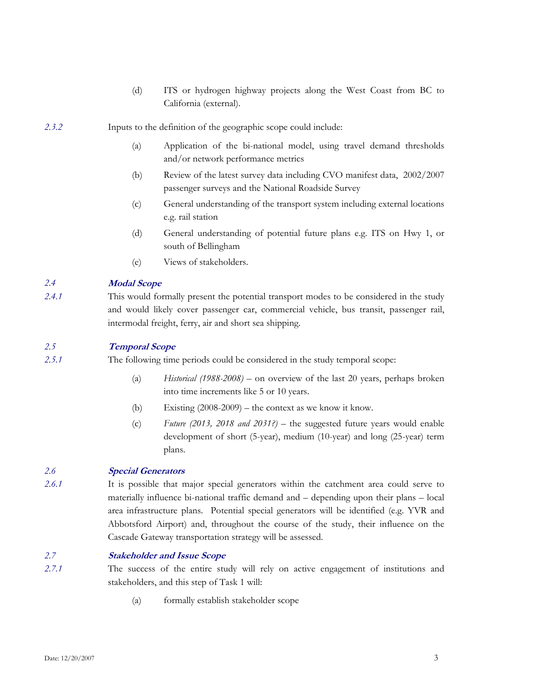- (d) ITS or hydrogen highway projects along the West Coast from BC to California (external).
- *2.3.2* Inputs to the definition of the geographic scope could include:
	- (a) Application of the bi-national model, using travel demand thresholds and/or network performance metrics
	- (b) Review of the latest survey data including CVO manifest data, 2002/2007 passenger surveys and the National Roadside Survey
	- (c) General understanding of the transport system including external locations e.g. rail station
	- (d) General understanding of potential future plans e.g. ITS on Hwy 1, or south of Bellingham
	- (e) Views of stakeholders.

### *2.4* **Modal Scope**

*2.4.1* This would formally present the potential transport modes to be considered in the study and would likely cover passenger car, commercial vehicle, bus transit, passenger rail, intermodal freight, ferry, air and short sea shipping.

# *2.5* **Temporal Scope**

*2.5.1* The following time periods could be considered in the study temporal scope:

- (a) *Historical (1988-2008) –* on overview of the last 20 years, perhaps broken into time increments like 5 or 10 years.
- (b) Existing  $(2008-2009)$  the context as we know it know.
- (c) *Future (2013, 2018 and 2031?) –* the suggested future years would enable development of short (5-year), medium (10-year) and long (25-year) term plans.

### *2.6* **Special Generators**

*2.6.1* It is possible that major special generators within the catchment area could serve to materially influence bi-national traffic demand and – depending upon their plans – local area infrastructure plans. Potential special generators will be identified (e.g. YVR and Abbotsford Airport) and, throughout the course of the study, their influence on the Cascade Gateway transportation strategy will be assessed.

#### *2.7* **Stakeholder and Issue Scope**

- *2.7.1* The success of the entire study will rely on active engagement of institutions and stakeholders, and this step of Task 1 will:
	- (a) formally establish stakeholder scope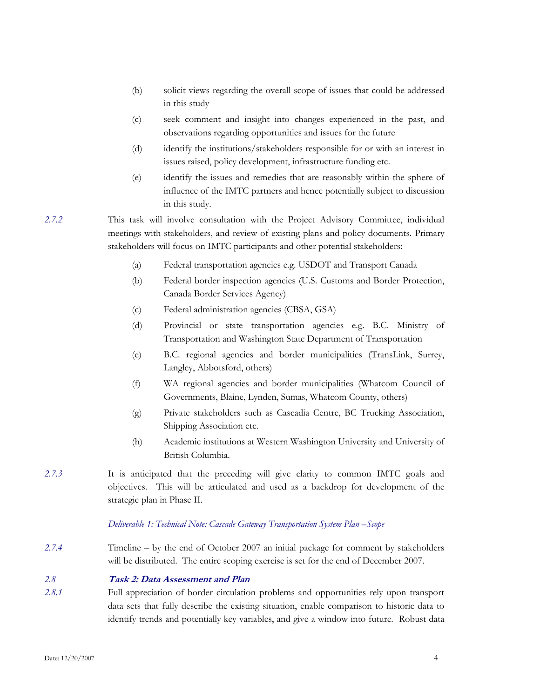- (b) solicit views regarding the overall scope of issues that could be addressed in this study
- (c) seek comment and insight into changes experienced in the past, and observations regarding opportunities and issues for the future
- (d) identify the institutions/stakeholders responsible for or with an interest in issues raised, policy development, infrastructure funding etc.
- (e) identify the issues and remedies that are reasonably within the sphere of influence of the IMTC partners and hence potentially subject to discussion in this study.

*2.7.2* This task will involve consultation with the Project Advisory Committee, individual meetings with stakeholders, and review of existing plans and policy documents. Primary stakeholders will focus on IMTC participants and other potential stakeholders:

- (a) Federal transportation agencies e.g. USDOT and Transport Canada
- (b) Federal border inspection agencies (U.S. Customs and Border Protection, Canada Border Services Agency)
- (c) Federal administration agencies (CBSA, GSA)
- (d) Provincial or state transportation agencies e.g. B.C. Ministry of Transportation and Washington State Department of Transportation
- (e) B.C. regional agencies and border municipalities (TransLink, Surrey, Langley, Abbotsford, others)
- (f) WA regional agencies and border municipalities (Whatcom Council of Governments, Blaine, Lynden, Sumas, Whatcom County, others)
- (g) Private stakeholders such as Cascadia Centre, BC Trucking Association, Shipping Association etc.
- (h) Academic institutions at Western Washington University and University of British Columbia.
- *2.7.3* It is anticipated that the preceding will give clarity to common IMTC goals and objectives. This will be articulated and used as a backdrop for development of the strategic plan in Phase II.

#### *Deliverable 1: Technical Note: Cascade Gateway Transportation System Plan –Scope*

*2.7.4* Timeline – by the end of October 2007 an initial package for comment by stakeholders will be distributed. The entire scoping exercise is set for the end of December 2007.

#### *2.8* **Task 2: Data Assessment and Plan**

*2.8.1* Full appreciation of border circulation problems and opportunities rely upon transport data sets that fully describe the existing situation, enable comparison to historic data to identify trends and potentially key variables, and give a window into future. Robust data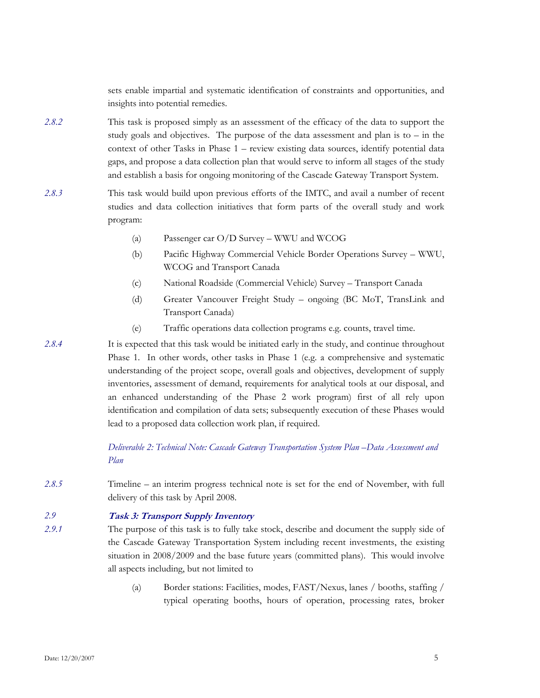sets enable impartial and systematic identification of constraints and opportunities, and insights into potential remedies.

- *2.8.2* This task is proposed simply as an assessment of the efficacy of the data to support the study goals and objectives. The purpose of the data assessment and plan is to  $-$  in the context of other Tasks in Phase 1 – review existing data sources, identify potential data gaps, and propose a data collection plan that would serve to inform all stages of the study and establish a basis for ongoing monitoring of the Cascade Gateway Transport System.
- *2.8.3* This task would build upon previous efforts of the IMTC, and avail a number of recent studies and data collection initiatives that form parts of the overall study and work program:
	- (a) Passenger car O/D Survey WWU and WCOG
	- (b) Pacific Highway Commercial Vehicle Border Operations Survey WWU, WCOG and Transport Canada
	- (c) National Roadside (Commercial Vehicle) Survey Transport Canada
	- (d) Greater Vancouver Freight Study ongoing (BC MoT, TransLink and Transport Canada)
	- (e) Traffic operations data collection programs e.g. counts, travel time.

*2.8.4* It is expected that this task would be initiated early in the study, and continue throughout Phase 1. In other words, other tasks in Phase 1 (e.g. a comprehensive and systematic understanding of the project scope, overall goals and objectives, development of supply inventories, assessment of demand, requirements for analytical tools at our disposal, and an enhanced understanding of the Phase 2 work program) first of all rely upon identification and compilation of data sets; subsequently execution of these Phases would lead to a proposed data collection work plan, if required.

> *Deliverable 2: Technical Note: Cascade Gateway Transportation System Plan –Data Assessment and Plan*

*2.8.5* Timeline – an interim progress technical note is set for the end of November, with full delivery of this task by April 2008.

# *2.9* **Task 3: Transport Supply Inventory**

- *2.9.1* The purpose of this task is to fully take stock, describe and document the supply side of the Cascade Gateway Transportation System including recent investments, the existing situation in 2008/2009 and the base future years (committed plans). This would involve all aspects including, but not limited to
	- (a) Border stations: Facilities, modes, FAST/Nexus, lanes / booths, staffing / typical operating booths, hours of operation, processing rates, broker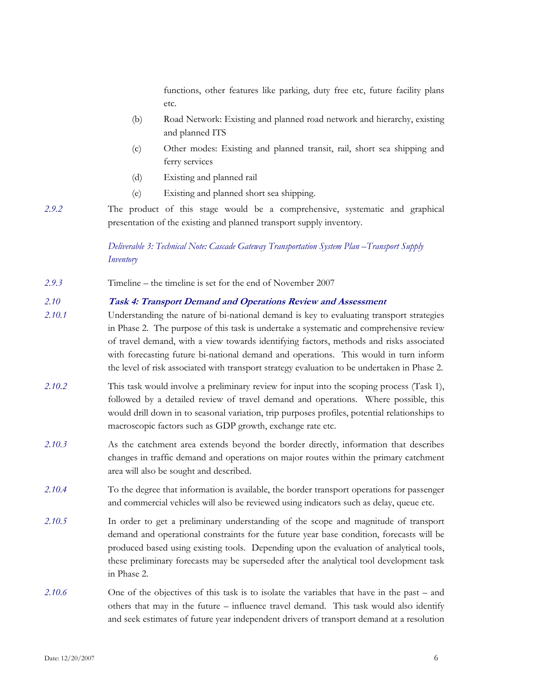functions, other features like parking, duty free etc, future facility plans etc.

- (b) Road Network: Existing and planned road network and hierarchy, existing and planned ITS
- (c) Other modes: Existing and planned transit, rail, short sea shipping and ferry services
- (d) Existing and planned rail
- (e) Existing and planned short sea shipping.
- *2.9.2* The product of this stage would be a comprehensive, systematic and graphical presentation of the existing and planned transport supply inventory.

*Deliverable 3: Technical Note: Cascade Gateway Transportation System Plan –Transport Supply Inventory* 

*2.9.3* Timeline – the timeline is set for the end of November 2007

# *2.10* **Task 4: Transport Demand and Operations Review and Assessment**

- *2.10.1* Understanding the nature of bi-national demand is key to evaluating transport strategies in Phase 2. The purpose of this task is undertake a systematic and comprehensive review of travel demand, with a view towards identifying factors, methods and risks associated with forecasting future bi-national demand and operations. This would in turn inform the level of risk associated with transport strategy evaluation to be undertaken in Phase 2.
- *2.10.2* This task would involve a preliminary review for input into the scoping process (Task 1), followed by a detailed review of travel demand and operations. Where possible, this would drill down in to seasonal variation, trip purposes profiles, potential relationships to macroscopic factors such as GDP growth, exchange rate etc.
- *2.10.3* As the catchment area extends beyond the border directly, information that describes changes in traffic demand and operations on major routes within the primary catchment area will also be sought and described.
- *2.10.4* To the degree that information is available, the border transport operations for passenger and commercial vehicles will also be reviewed using indicators such as delay, queue etc.
- *2.10.5* In order to get a preliminary understanding of the scope and magnitude of transport demand and operational constraints for the future year base condition, forecasts will be produced based using existing tools. Depending upon the evaluation of analytical tools, these preliminary forecasts may be superseded after the analytical tool development task in Phase 2.
- *2.10.6* One of the objectives of this task is to isolate the variables that have in the past and others that may in the future – influence travel demand. This task would also identify and seek estimates of future year independent drivers of transport demand at a resolution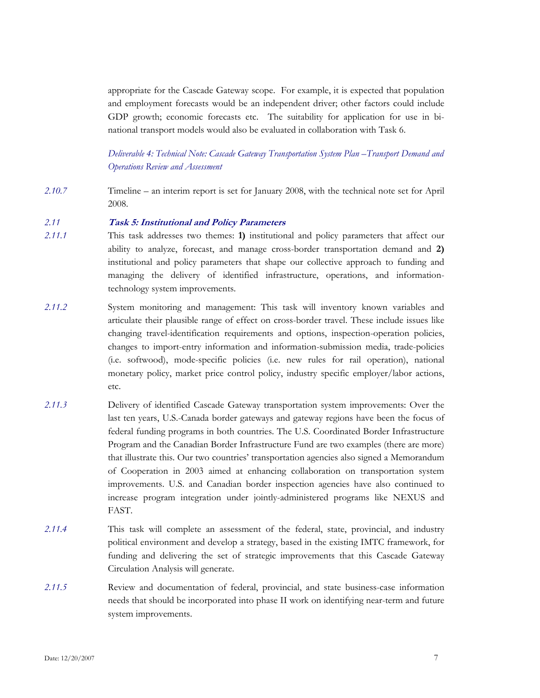appropriate for the Cascade Gateway scope. For example, it is expected that population and employment forecasts would be an independent driver; other factors could include GDP growth; economic forecasts etc. The suitability for application for use in binational transport models would also be evaluated in collaboration with Task 6.

*Deliverable 4: Technical Note: Cascade Gateway Transportation System Plan –Transport Demand and Operations Review and Assessment* 

*2.10.7* Timeline – an interim report is set for January 2008, with the technical note set for April 2008.

#### *2.11* **Task 5: Institutional and Policy Parameters**

- *2.11.1* This task addresses two themes: **1)** institutional and policy parameters that affect our ability to analyze, forecast, and manage cross-border transportation demand and **2)** institutional and policy parameters that shape our collective approach to funding and managing the delivery of identified infrastructure, operations, and informationtechnology system improvements.
- *2.11.2* System monitoring and management: This task will inventory known variables and articulate their plausible range of effect on cross-border travel. These include issues like changing travel-identification requirements and options, inspection-operation policies, changes to import-entry information and information-submission media, trade-policies (i.e. softwood), mode-specific policies (i.e. new rules for rail operation), national monetary policy, market price control policy, industry specific employer/labor actions, etc.
- *2.11.3* Delivery of identified Cascade Gateway transportation system improvements: Over the last ten years, U.S.-Canada border gateways and gateway regions have been the focus of federal funding programs in both countries. The U.S. Coordinated Border Infrastructure Program and the Canadian Border Infrastructure Fund are two examples (there are more) that illustrate this. Our two countries' transportation agencies also signed a Memorandum of Cooperation in 2003 aimed at enhancing collaboration on transportation system improvements. U.S. and Canadian border inspection agencies have also continued to increase program integration under jointly-administered programs like NEXUS and FAST.
- *2.11.4* This task will complete an assessment of the federal, state, provincial, and industry political environment and develop a strategy, based in the existing IMTC framework, for funding and delivering the set of strategic improvements that this Cascade Gateway Circulation Analysis will generate.
- *2.11.5* Review and documentation of federal, provincial, and state business-case information needs that should be incorporated into phase II work on identifying near-term and future system improvements.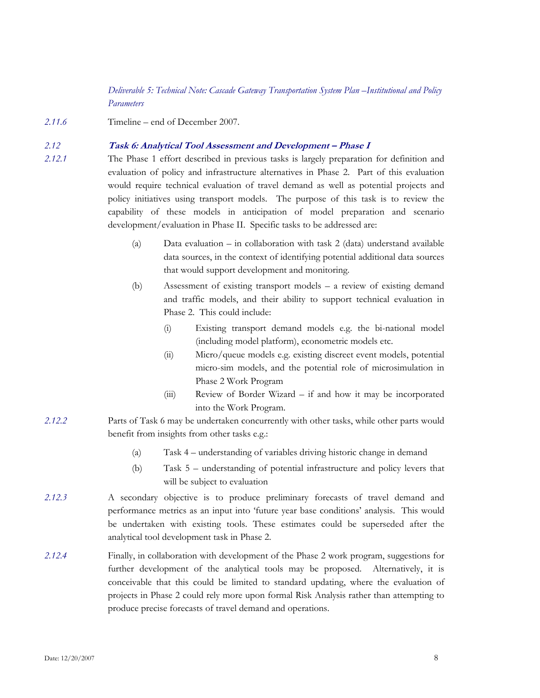*Deliverable 5: Technical Note: Cascade Gateway Transportation System Plan –Institutional and Policy Parameters* 

*2.11.6* Timeline – end of December 2007.

# *2.12* **Task 6: Analytical Tool Assessment and Development – Phase I**

*2.12.1* The Phase 1 effort described in previous tasks is largely preparation for definition and evaluation of policy and infrastructure alternatives in Phase 2. Part of this evaluation would require technical evaluation of travel demand as well as potential projects and policy initiatives using transport models. The purpose of this task is to review the capability of these models in anticipation of model preparation and scenario development/evaluation in Phase II. Specific tasks to be addressed are:

- (a) Data evaluation in collaboration with task 2 (data) understand available data sources, in the context of identifying potential additional data sources that would support development and monitoring.
- (b) Assessment of existing transport models a review of existing demand and traffic models, and their ability to support technical evaluation in Phase 2. This could include:
	- (i) Existing transport demand models e.g. the bi-national model (including model platform), econometric models etc.
	- (ii) Micro/queue models e.g. existing discreet event models, potential micro-sim models, and the potential role of microsimulation in Phase 2 Work Program
	- (iii) Review of Border Wizard if and how it may be incorporated into the Work Program.
- *2.12.2* Parts of Task 6 may be undertaken concurrently with other tasks, while other parts would benefit from insights from other tasks e.g.:
	- (a) Task 4 understanding of variables driving historic change in demand
	- (b) Task 5 understanding of potential infrastructure and policy levers that will be subject to evaluation
- *2.12.3* A secondary objective is to produce preliminary forecasts of travel demand and performance metrics as an input into 'future year base conditions' analysis. This would be undertaken with existing tools. These estimates could be superseded after the analytical tool development task in Phase 2.
- *2.12.4* Finally, in collaboration with development of the Phase 2 work program, suggestions for further development of the analytical tools may be proposed. Alternatively, it is conceivable that this could be limited to standard updating, where the evaluation of projects in Phase 2 could rely more upon formal Risk Analysis rather than attempting to produce precise forecasts of travel demand and operations.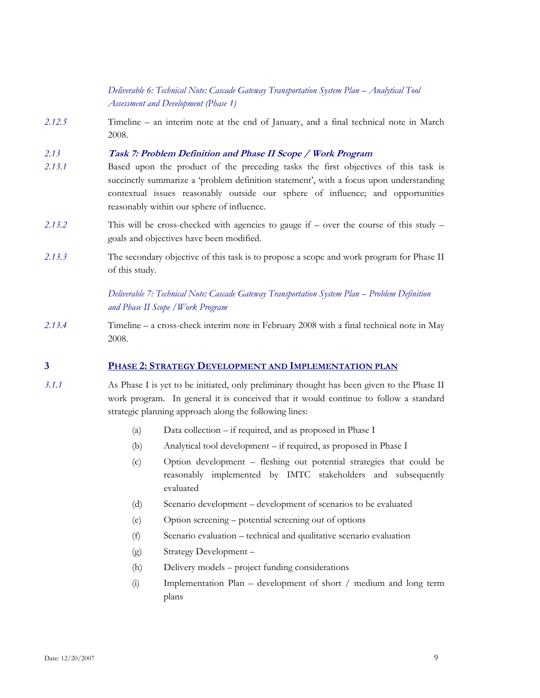# *Deliverable 6: Technical Note: Cascade Gateway Transportation System Plan – Analytical Tool Assessment and Development (Phase 1)*

*2.12.5* Timeline – an interim note at the end of January, and a final technical note in March 2008.

#### *2.13* **Task 7: Problem Definition and Phase II Scope / Work Program**

- *2.13.1* Based upon the product of the preceding tasks the first objectives of this task is succinctly summarize a 'problem definition statement', with a focus upon understanding contextual issues reasonably outside our sphere of influence; and opportunities reasonably within our sphere of influence.
- *2.13.2* This will be cross-checked with agencies to gauge if over the course of this study goals and objectives have been modified.
- *2.13.3* The secondary objective of this task is to propose a scope and work program for Phase II of this study.

# *Deliverable 7: Technical Note: Cascade Gateway Transportation System Plan – Problem Definition and Phase II Scope /Work Program*

*2.13.4* Timeline – a cross-check interim note in February 2008 with a final technical note in May 2008.

# **3 PHASE 2: STRATEGY DEVELOPMENT AND IMPLEMENTATION PLAN**

- *3.1.1* As Phase I is yet to be initiated, only preliminary thought has been given to the Phase II work program. In general it is conceived that it would continue to follow a standard strategic planning approach along the following lines:
	- (a) Data collection if required, and as proposed in Phase I
	- (b) Analytical tool development if required, as proposed in Phase I
	- (c) Option development fleshing out potential strategies that could be reasonably implemented by IMTC stakeholders and subsequently evaluated
	- (d) Scenario development development of scenarios to be evaluated
	- (e) Option screening potential screening out of options
	- (f) Scenario evaluation technical and qualitative scenario evaluation
	- (g) Strategy Development –
	- (h) Delivery models project funding considerations
	- (i) Implementation Plan development of short / medium and long term plans